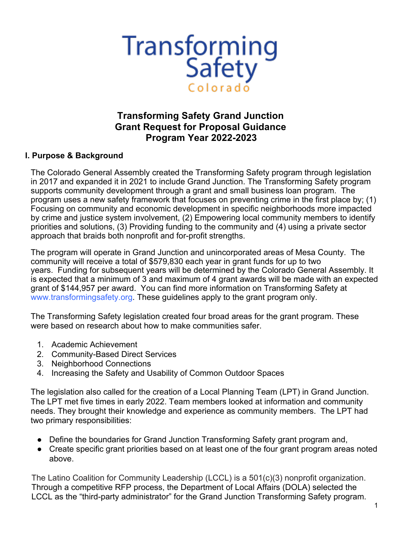

# **Transforming Safety Grand Junction Grant Request for Proposal Guidance Program Year 2022-2023**

#### **I. Purpose & Background**

The Colorado General Assembly created the Transforming Safety program through legislation in 2017 and expanded it in 2021 to include Grand Junction. The Transforming Safety program supports community development through a grant and small business loan program. The program uses a new safety framework that focuses on preventing crime in the first place by; (1) Focusing on community and economic development in specific neighborhoods more impacted by crime and justice system involvement, (2) Empowering local community members to identify priorities and solutions, (3) Providing funding to the community and (4) using a private sector approach that braids both nonprofit and for-profit strengths.

The program will operate in Grand Junction and unincorporated areas of Mesa County. The community will receive a total of \$579,830 each year in grant funds for up to two years. Funding for subsequent years will be determined by the Colorado General Assembly. It is expected that a minimum of 3 and maximum of 4 grant awards will be made with an expected grant of \$144,957 per award. You can find more information on Transforming Safety at www.transformingsafety.org. These guidelines apply to the grant program only.

The Transforming Safety legislation created four broad areas for the grant program. These were based on research about how to make communities safer.

- 1. Academic Achievement
- 2. Community-Based Direct Services
- 3. Neighborhood Connections
- 4. Increasing the Safety and Usability of Common Outdoor Spaces

The legislation also called for the creation of a Local Planning Team (LPT) in Grand Junction. The LPT met five times in early 2022. Team members looked at information and community needs. They brought their knowledge and experience as community members. The LPT had two primary responsibilities:

- Define the boundaries for Grand Junction Transforming Safety grant program and,
- Create specific grant priorities based on at least one of the four grant program areas noted above.

The Latino Coalition for Community Leadership (LCCL) is a 501(c)(3) nonprofit organization. Through a competitive RFP process, the Department of Local Affairs (DOLA) selected the LCCL as the "third-party administrator" for the Grand Junction Transforming Safety program.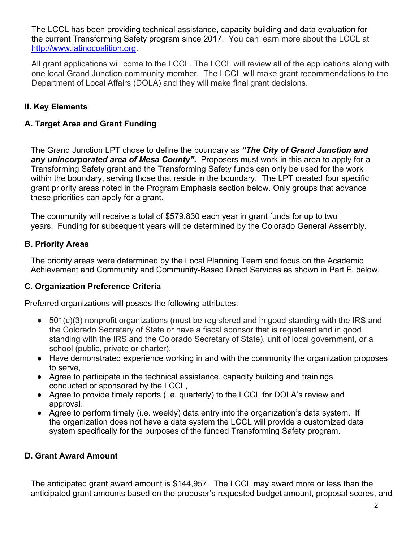The LCCL has been providing technical assistance, capacity building and data evaluation for the current Transforming Safety program since 2017. You can learn more about the LCCL at http://www.latinocoalition.org.

All grant applications will come to the LCCL. The LCCL will review all of the applications along with one local Grand Junction community member. The LCCL will make grant recommendations to the Department of Local Affairs (DOLA) and they will make final grant decisions.

### **II. Key Elements**

### **A. Target Area and Grant Funding**

The Grand Junction LPT chose to define the boundary as *"The City of Grand Junction and any unincorporated area of Mesa County".* Proposers must work in this area to apply for a Transforming Safety grant and the Transforming Safety funds can only be used for the work within the boundary, serving those that reside in the boundary. The LPT created four specific grant priority areas noted in the Program Emphasis section below. Only groups that advance these priorities can apply for a grant.

The community will receive a total of \$579,830 each year in grant funds for up to two years. Funding for subsequent years will be determined by the Colorado General Assembly.

#### **B. Priority Areas**

The priority areas were determined by the Local Planning Team and focus on the Academic Achievement and Community and Community-Based Direct Services as shown in Part F. below.

#### **C**. **Organization Preference Criteria**

Preferred organizations will posses the following attributes:

- 501(c)(3) nonprofit organizations (must be registered and in good standing with the IRS and the Colorado Secretary of State or have a fiscal sponsor that is registered and in good standing with the IRS and the Colorado Secretary of State), unit of local government, or a school (public, private or charter).
- Have demonstrated experience working in and with the community the organization proposes to serve,
- Agree to participate in the technical assistance, capacity building and trainings conducted or sponsored by the LCCL,
- Agree to provide timely reports (i.e. quarterly) to the LCCL for DOLA's review and approval.
- Agree to perform timely (i.e. weekly) data entry into the organization's data system. If the organization does not have a data system the LCCL will provide a customized data system specifically for the purposes of the funded Transforming Safety program.

#### **D. Grant Award Amount**

The anticipated grant award amount is \$144,957. The LCCL may award more or less than the anticipated grant amounts based on the proposer's requested budget amount, proposal scores, and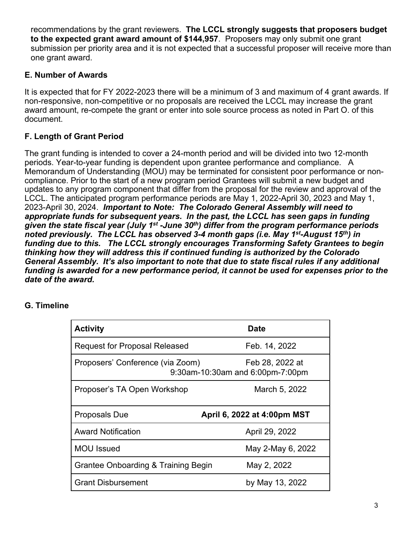recommendations by the grant reviewers. **The LCCL strongly suggests that proposers budget to the expected grant award amount of \$144,957**. Proposers may only submit one grant submission per priority area and it is not expected that a successful proposer will receive more than one grant award.

### **E. Number of Awards**

It is expected that for FY 2022-2023 there will be a minimum of 3 and maximum of 4 grant awards. If non-responsive, non-competitive or no proposals are received the LCCL may increase the grant award amount, re-compete the grant or enter into sole source process as noted in Part O. of this document.

# **F. Length of Grant Period**

The grant funding is intended to cover a 24-month period and will be divided into two 12-month periods. Year-to-year funding is dependent upon grantee performance and compliance. A Memorandum of Understanding (MOU) may be terminated for consistent poor performance or noncompliance. Prior to the start of a new program period Grantees will submit a new budget and updates to any program component that differ from the proposal for the review and approval of the LCCL. The anticipated program performance periods are May 1, 2022-April 30, 2023 and May 1, 2023-April 30, 2024. *Important to Note: The Colorado General Assembly will need to appropriate funds for subsequent years. In the past, the LCCL has seen gaps in funding given the state fiscal year (July 1st -June 30th) differ from the program performance periods noted previously. The LCCL has observed 3-4 month gaps (i.e. May 1st-August 15th) in funding due to this. The LCCL strongly encourages Transforming Safety Grantees to begin thinking how they will address this if continued funding is authorized by the Colorado General Assembly. It's also important to note that due to state fiscal rules if any additional funding is awarded for a new performance period, it cannot be used for expenses prior to the date of the award.*

| <b>Activity</b>                                | Date                                                |
|------------------------------------------------|-----------------------------------------------------|
| <b>Request for Proposal Released</b>           | Feb. 14, 2022                                       |
| Proposers' Conference (via Zoom)               | Feb 28, 2022 at<br>9:30am-10:30am and 6:00pm-7:00pm |
| Proposer's TA Open Workshop                    | March 5, 2022                                       |
| Proposals Due                                  | April 6, 2022 at 4:00pm MST                         |
| <b>Award Notification</b>                      | April 29, 2022                                      |
| <b>MOU</b> Issued                              | May 2-May 6, 2022                                   |
|                                                |                                                     |
| <b>Grantee Onboarding &amp; Training Begin</b> | May 2, 2022                                         |

# **G. Timeline**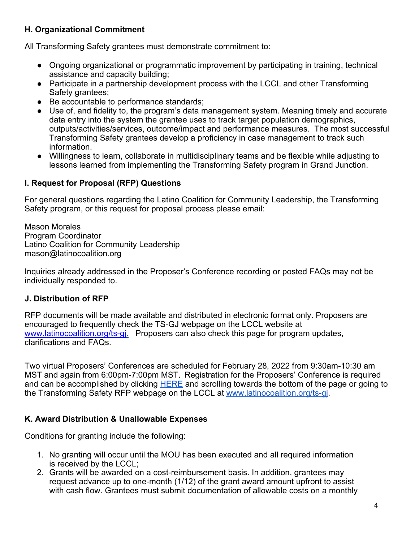### **H. Organizational Commitment**

All Transforming Safety grantees must demonstrate commitment to:

- Ongoing organizational or programmatic improvement by participating in training, technical assistance and capacity building;
- Participate in a partnership development process with the LCCL and other Transforming Safety grantees;
- Be accountable to performance standards;
- Use of, and fidelity to, the program's data management system. Meaning timely and accurate data entry into the system the grantee uses to track target population demographics, outputs/activities/services, outcome/impact and performance measures. The most successful Transforming Safety grantees develop a proficiency in case management to track such information.
- Willingness to learn, collaborate in multidisciplinary teams and be flexible while adjusting to lessons learned from implementing the Transforming Safety program in Grand Junction.

### **I. Request for Proposal (RFP) Questions**

For general questions regarding the Latino Coalition for Community Leadership, the Transforming Safety program, or this request for proposal process please email:

Mason Morales Program Coordinator Latino Coalition for Community Leadership mason@latinocoalition.org

Inquiries already addressed in the Proposer's Conference recording or posted FAQs may not be individually responded to.

#### **J. Distribution of RFP**

RFP documents will be made available and distributed in electronic format only. Proposers are encouraged to frequently check the TS-GJ webpage on the LCCL website at www.latinocoalition.org/ts-gj. Proposers can also check this page for program updates, clarifications and FAQs.

Two virtual Proposers' Conferences are scheduled for February 28, 2022 from 9:30am-10:30 am MST and again from 6:00pm-7:00pm MST. Registration for the Proposers' Conference is required and can be accomplished by clicking HERE and scrolling towards the bottom of the page or going to the Transforming Safety RFP webpage on the LCCL at www.latinocoalition.org/ts-gj.

#### **K. Award Distribution & Unallowable Expenses**

Conditions for granting include the following:

- 1. No granting will occur until the MOU has been executed and all required information is received by the LCCL;
- 2. Grants will be awarded on a cost-reimbursement basis. In addition, grantees may request advance up to one-month (1/12) of the grant award amount upfront to assist with cash flow. Grantees must submit documentation of allowable costs on a monthly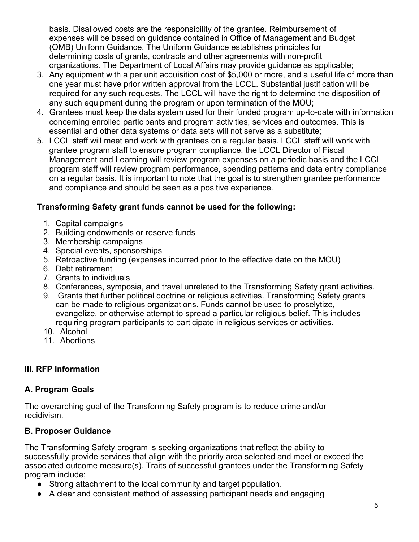basis. Disallowed costs are the responsibility of the grantee. Reimbursement of expenses will be based on guidance contained in Office of Management and Budget (OMB) Uniform Guidance. The Uniform Guidance establishes principles for determining costs of grants, contracts and other agreements with non-profit organizations. The Department of Local Affairs may provide guidance as applicable;

- 3. Any equipment with a per unit acquisition cost of \$5,000 or more, and a useful life of more than one year must have prior written approval from the LCCL. Substantial justification will be required for any such requests. The LCCL will have the right to determine the disposition of any such equipment during the program or upon termination of the MOU;
- 4. Grantees must keep the data system used for their funded program up-to-date with information concerning enrolled participants and program activities, services and outcomes. This is essential and other data systems or data sets will not serve as a substitute;
- 5. LCCL staff will meet and work with grantees on a regular basis. LCCL staff will work with grantee program staff to ensure program compliance, the LCCL Director of Fiscal Management and Learning will review program expenses on a periodic basis and the LCCL program staff will review program performance, spending patterns and data entry compliance on a regular basis. It is important to note that the goal is to strengthen grantee performance and compliance and should be seen as a positive experience.

# **Transforming Safety grant funds cannot be used for the following:**

- 1. Capital campaigns
- 2. Building endowments or reserve funds
- 3. Membership campaigns
- 4. Special events, sponsorships
- 5. Retroactive funding (expenses incurred prior to the effective date on the MOU)
- 6. Debt retirement
- 7. Grants to individuals
- 8. Conferences, symposia, and travel unrelated to the Transforming Safety grant activities.
- 9. Grants that further political doctrine or religious activities. Transforming Safety grants can be made to religious organizations. Funds cannot be used to proselytize, evangelize, or otherwise attempt to spread a particular religious belief. This includes requiring program participants to participate in religious services or activities.
- 10. Alcohol
- 11. Abortions

#### **III. RFP Information**

#### **A. Program Goals**

The overarching goal of the Transforming Safety program is to reduce crime and/or recidivism.

#### **B. Proposer Guidance**

The Transforming Safety program is seeking organizations that reflect the ability to successfully provide services that align with the priority area selected and meet or exceed the associated outcome measure(s). Traits of successful grantees under the Transforming Safety program include;

- Strong attachment to the local community and target population.
- A clear and consistent method of assessing participant needs and engaging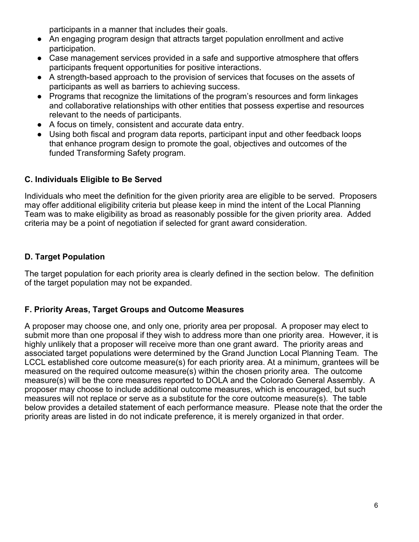participants in a manner that includes their goals.

- An engaging program design that attracts target population enrollment and active participation.
- Case management services provided in a safe and supportive atmosphere that offers participants frequent opportunities for positive interactions.
- A strength-based approach to the provision of services that focuses on the assets of participants as well as barriers to achieving success.
- Programs that recognize the limitations of the program's resources and form linkages and collaborative relationships with other entities that possess expertise and resources relevant to the needs of participants.
- A focus on timely, consistent and accurate data entry.
- Using both fiscal and program data reports, participant input and other feedback loops that enhance program design to promote the goal, objectives and outcomes of the funded Transforming Safety program.

# **C. Individuals Eligible to Be Served**

Individuals who meet the definition for the given priority area are eligible to be served. Proposers may offer additional eligibility criteria but please keep in mind the intent of the Local Planning Team was to make eligibility as broad as reasonably possible for the given priority area. Added criteria may be a point of negotiation if selected for grant award consideration.

# **D. Target Population**

The target population for each priority area is clearly defined in the section below. The definition of the target population may not be expanded.

# **F. Priority Areas, Target Groups and Outcome Measures**

A proposer may choose one, and only one, priority area per proposal. A proposer may elect to submit more than one proposal if they wish to address more than one priority area. However, it is highly unlikely that a proposer will receive more than one grant award. The priority areas and associated target populations were determined by the Grand Junction Local Planning Team. The LCCL established core outcome measure(s) for each priority area. At a minimum, grantees will be measured on the required outcome measure(s) within the chosen priority area. The outcome measure(s) will be the core measures reported to DOLA and the Colorado General Assembly. A proposer may choose to include additional outcome measures, which is encouraged, but such measures will not replace or serve as a substitute for the core outcome measure(s). The table below provides a detailed statement of each performance measure. Please note that the order the priority areas are listed in do not indicate preference, it is merely organized in that order.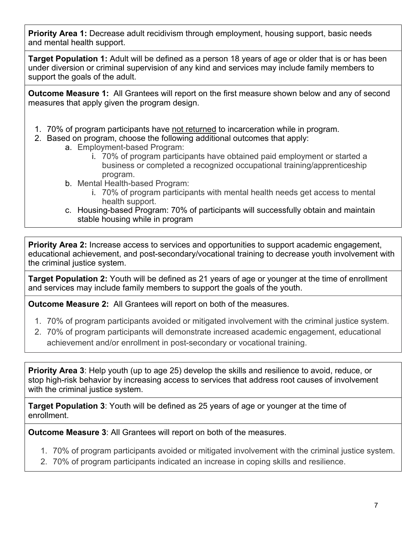**Priority Area 1:** Decrease adult recidivism through employment, housing support, basic needs and mental health support.

**Target Population 1:** Adult will be defined as a person 18 years of age or older that is or has been under diversion or criminal supervision of any kind and services may include family members to support the goals of the adult.

**Outcome Measure 1:** All Grantees will report on the first measure shown below and any of second measures that apply given the program design.

- 1. 70% of program participants have not returned to incarceration while in program.
- 2. Based on program, choose the following additional outcomes that apply:
	- a. Employment-based Program:
		- i. 70% of program participants have obtained paid employment or started a business or completed a recognized occupational training/apprenticeship program.
		- b. Mental Health-based Program:
			- i. 70% of program participants with mental health needs get access to mental health support.
		- c. Housing-based Program: 70% of participants will successfully obtain and maintain stable housing while in program

**Priority Area 2:** Increase access to services and opportunities to support academic engagement, educational achievement, and post-secondary/vocational training to decrease youth involvement with the criminal justice system.

**Target Population 2:** Youth will be defined as 21 years of age or younger at the time of enrollment and services may include family members to support the goals of the youth.

**Outcome Measure 2:** All Grantees will report on both of the measures.

- 1. 70% of program participants avoided or mitigated involvement with the criminal justice system.
- 2. 70% of program participants will demonstrate increased academic engagement, educational achievement and/or enrollment in post-secondary or vocational training.

**Priority Area 3**: Help youth (up to age 25) develop the skills and resilience to avoid, reduce, or stop high-risk behavior by increasing access to services that address root causes of involvement with the criminal justice system.

**Target Population 3**: Youth will be defined as 25 years of age or younger at the time of enrollment.

**Outcome Measure 3**: All Grantees will report on both of the measures.

- 1. 70% of program participants avoided or mitigated involvement with the criminal justice system.
- 2. 70% of program participants indicated an increase in coping skills and resilience.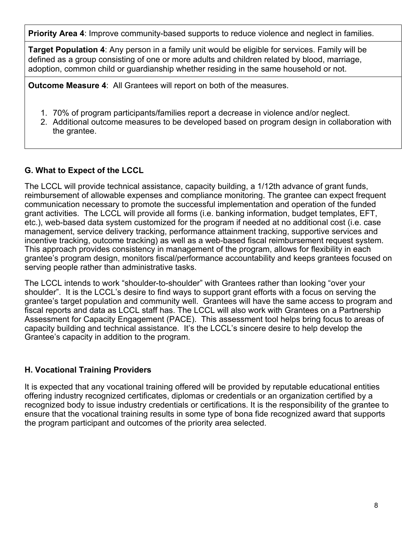**Priority Area 4**: Improve community-based supports to reduce violence and neglect in families.

**Target Population 4**: Any person in a family unit would be eligible for services. Family will be defined as a group consisting of one or more adults and children related by blood, marriage, adoption, common child or guardianship whether residing in the same household or not.

**Outcome Measure 4**: All Grantees will report on both of the measures.

- 1. 70% of program participants/families report a decrease in violence and/or neglect.
- 2. Additional outcome measures to be developed based on program design in collaboration with the grantee.

# **G. What to Expect of the LCCL**

The LCCL will provide technical assistance, capacity building, a 1/12th advance of grant funds, reimbursement of allowable expenses and compliance monitoring. The grantee can expect frequent communication necessary to promote the successful implementation and operation of the funded grant activities. The LCCL will provide all forms (i.e. banking information, budget templates, EFT, etc.), web-based data system customized for the program if needed at no additional cost (i.e. case management, service delivery tracking, performance attainment tracking, supportive services and incentive tracking, outcome tracking) as well as a web-based fiscal reimbursement request system. This approach provides consistency in management of the program, allows for flexibility in each grantee's program design, monitors fiscal/performance accountability and keeps grantees focused on serving people rather than administrative tasks.

The LCCL intends to work "shoulder-to-shoulder" with Grantees rather than looking "over your shoulder". It is the LCCL's desire to find ways to support grant efforts with a focus on serving the grantee's target population and community well. Grantees will have the same access to program and fiscal reports and data as LCCL staff has. The LCCL will also work with Grantees on a Partnership Assessment for Capacity Engagement (PACE). This assessment tool helps bring focus to areas of capacity building and technical assistance. It's the LCCL's sincere desire to help develop the Grantee's capacity in addition to the program.

# **H. Vocational Training Providers**

It is expected that any vocational training offered will be provided by reputable educational entities offering industry recognized certificates, diplomas or credentials or an organization certified by a recognized body to issue industry credentials or certifications. It is the responsibility of the grantee to ensure that the vocational training results in some type of bona fide recognized award that supports the program participant and outcomes of the priority area selected.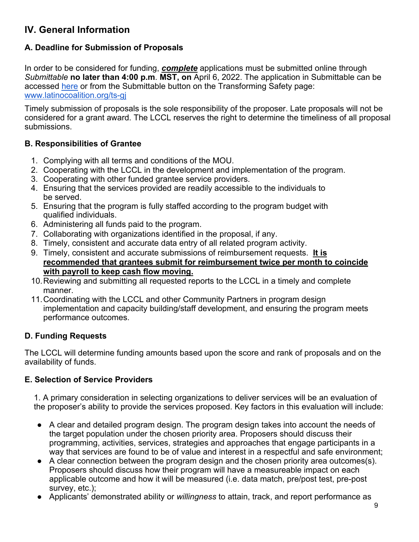# **IV. General Information**

# **A. Deadline for Submission of Proposals**

In order to be considered for funding, *complete* applications must be submitted online through *Submittable* **no later than 4:00 p.m**. **MST, on** April 6, 2022. The application in Submittable can be accessed here or from the Submittable button on the Transforming Safety page: www.latinocoalition.org/ts-gj

Timely submission of proposals is the sole responsibility of the proposer. Late proposals will not be considered for a grant award. The LCCL reserves the right to determine the timeliness of all proposal submissions.

#### **B. Responsibilities of Grantee**

- 1. Complying with all terms and conditions of the MOU.
- 2. Cooperating with the LCCL in the development and implementation of the program.
- 3. Cooperating with other funded grantee service providers.
- 4. Ensuring that the services provided are readily accessible to the individuals to be served.
- 5. Ensuring that the program is fully staffed according to the program budget with qualified individuals.
- 6. Administering all funds paid to the program.
- 7. Collaborating with organizations identified in the proposal, if any.
- 8. Timely, consistent and accurate data entry of all related program activity.
- 9. Timely, consistent and accurate submissions of reimbursement requests. **It is recommended that grantees submit for reimbursement twice per month to coincide with payroll to keep cash flow moving.**
- 10.Reviewing and submitting all requested reports to the LCCL in a timely and complete manner.
- 11.Coordinating with the LCCL and other Community Partners in program design implementation and capacity building/staff development, and ensuring the program meets performance outcomes.

#### **D. Funding Requests**

The LCCL will determine funding amounts based upon the score and rank of proposals and on the availability of funds.

#### **E. Selection of Service Providers**

1. A primary consideration in selecting organizations to deliver services will be an evaluation of the proposer's ability to provide the services proposed. Key factors in this evaluation will include:

- A clear and detailed program design. The program design takes into account the needs of the target population under the chosen priority area. Proposers should discuss their programming, activities, services, strategies and approaches that engage participants in a way that services are found to be of value and interest in a respectful and safe environment;
- A clear connection between the program design and the chosen priority area outcomes(s). Proposers should discuss how their program will have a measureable impact on each applicable outcome and how it will be measured (i.e. data match, pre/post test, pre-post survey, etc.);
- Applicants' demonstrated ability or *willingness* to attain, track, and report performance as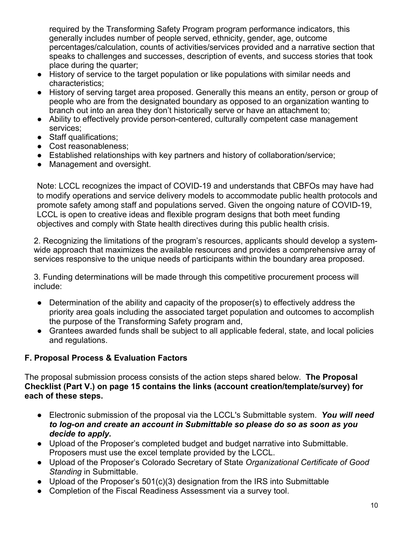required by the Transforming Safety Program program performance indicators, this generally includes number of people served, ethnicity, gender, age, outcome percentages/calculation, counts of activities/services provided and a narrative section that speaks to challenges and successes, description of events, and success stories that took place during the quarter;

- History of service to the target population or like populations with similar needs and characteristics;
- History of serving target area proposed. Generally this means an entity, person or group of people who are from the designated boundary as opposed to an organization wanting to branch out into an area they don't historically serve or have an attachment to;
- Ability to effectively provide person-centered, culturally competent case management services;
- Staff qualifications;
- Cost reasonableness;
- Established relationships with key partners and history of collaboration/service;
- Management and oversight.

Note: LCCL recognizes the impact of COVID-19 and understands that CBFOs may have had to modify operations and service delivery models to accommodate public health protocols and promote safety among staff and populations served. Given the ongoing nature of COVID-19, LCCL is open to creative ideas and flexible program designs that both meet funding objectives and comply with State health directives during this public health crisis.

2. Recognizing the limitations of the program's resources, applicants should develop a systemwide approach that maximizes the available resources and provides a comprehensive array of services responsive to the unique needs of participants within the boundary area proposed.

3. Funding determinations will be made through this competitive procurement process will include:

- Determination of the ability and capacity of the proposer(s) to effectively address the priority area goals including the associated target population and outcomes to accomplish the purpose of the Transforming Safety program and,
- Grantees awarded funds shall be subject to all applicable federal, state, and local policies and regulations.

# **F. Proposal Process & Evaluation Factors**

The proposal submission process consists of the action steps shared below. **The Proposal Checklist (Part V.) on page 15 contains the links (account creation/template/survey) for each of these steps.**

- Electronic submission of the proposal via the LCCL's Submittable system. *You will need to log-on and create an account in Submittable so please do so as soon as you decide to apply.*
- Upload of the Proposer's completed budget and budget narrative into Submittable. Proposers must use the excel template provided by the LCCL.
- Upload of the Proposer's Colorado Secretary of State *Organizational Certificate of Good Standing* in Submittable.
- Upload of the Proposer's 501(c)(3) designation from the IRS into Submittable
- Completion of the Fiscal Readiness Assessment via a survey tool.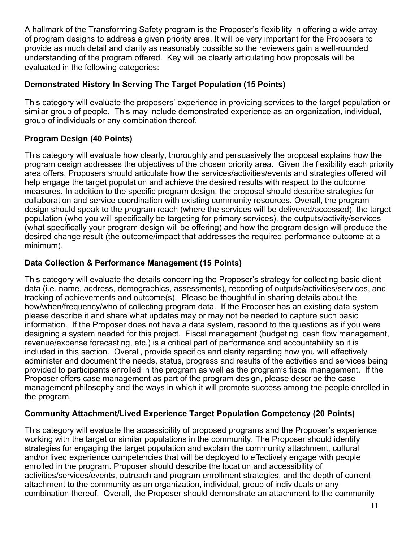A hallmark of the Transforming Safety program is the Proposer's flexibility in offering a wide array of program designs to address a given priority area. It will be very important for the Proposers to provide as much detail and clarity as reasonably possible so the reviewers gain a well-rounded understanding of the program offered. Key will be clearly articulating how proposals will be evaluated in the following categories:

### **Demonstrated History In Serving The Target Population (15 Points)**

This category will evaluate the proposers' experience in providing services to the target population or similar group of people. This may include demonstrated experience as an organization, individual, group of individuals or any combination thereof.

# **Program Design (40 Points)**

This category will evaluate how clearly, thoroughly and persuasively the proposal explains how the program design addresses the objectives of the chosen priority area. Given the flexibility each priority area offers, Proposers should articulate how the services/activities/events and strategies offered will help engage the target population and achieve the desired results with respect to the outcome measures. In addition to the specific program design, the proposal should describe strategies for collaboration and service coordination with existing community resources. Overall, the program design should speak to the program reach (where the services will be delivered/accessed), the target population (who you will specifically be targeting for primary services), the outputs/activity/services (what specifically your program design will be offering) and how the program design will produce the desired change result (the outcome/impact that addresses the required performance outcome at a minimum).

# **Data Collection & Performance Management (15 Points)**

This category will evaluate the details concerning the Proposer's strategy for collecting basic client data (i.e. name, address, demographics, assessments), recording of outputs/activities/services, and tracking of achievements and outcome(s). Please be thoughtful in sharing details about the how/when/frequency/who of collecting program data. If the Proposer has an existing data system please describe it and share what updates may or may not be needed to capture such basic information. If the Proposer does not have a data system, respond to the questions as if you were designing a system needed for this project. Fiscal management (budgeting, cash flow management, revenue/expense forecasting, etc.) is a critical part of performance and accountability so it is included in this section. Overall, provide specifics and clarity regarding how you will effectively administer and document the needs, status, progress and results of the activities and services being provided to participants enrolled in the program as well as the program's fiscal management. If the Proposer offers case management as part of the program design, please describe the case management philosophy and the ways in which it will promote success among the people enrolled in the program.

# **Community Attachment/Lived Experience Target Population Competency (20 Points)**

This category will evaluate the accessibility of proposed programs and the Proposer's experience working with the target or similar populations in the community. The Proposer should identify strategies for engaging the target population and explain the community attachment, cultural and/or lived experience competencies that will be deployed to effectively engage with people enrolled in the program. Proposer should describe the location and accessibility of activities/services/events, outreach and program enrollment strategies, and the depth of current attachment to the community as an organization, individual, group of individuals or any combination thereof. Overall, the Proposer should demonstrate an attachment to the community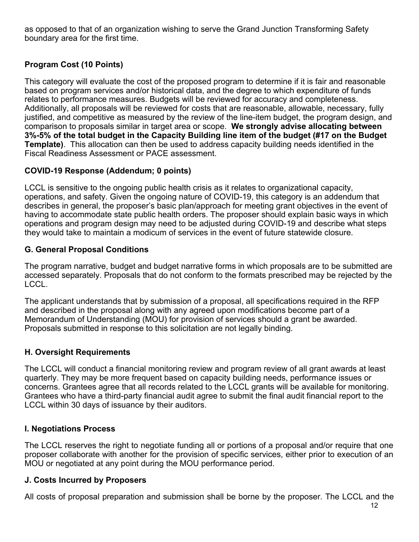as opposed to that of an organization wishing to serve the Grand Junction Transforming Safety boundary area for the first time.

# **Program Cost (10 Points)**

This category will evaluate the cost of the proposed program to determine if it is fair and reasonable based on program services and/or historical data, and the degree to which expenditure of funds relates to performance measures. Budgets will be reviewed for accuracy and completeness. Additionally, all proposals will be reviewed for costs that are reasonable, allowable, necessary, fully justified, and competitive as measured by the review of the line-item budget, the program design, and comparison to proposals similar in target area or scope. **We strongly advise allocating between 3%-5% of the total budget in the Capacity Building line item of the budget (#17 on the Budget Template)**. This allocation can then be used to address capacity building needs identified in the Fiscal Readiness Assessment or PACE assessment.

### **COVID-19 Response (Addendum; 0 points)**

LCCL is sensitive to the ongoing public health crisis as it relates to organizational capacity, operations, and safety. Given the ongoing nature of COVID-19, this category is an addendum that describes in general, the proposer's basic plan/approach for meeting grant objectives in the event of having to accommodate state public health orders. The proposer should explain basic ways in which operations and program design may need to be adjusted during COVID-19 and describe what steps they would take to maintain a modicum of services in the event of future statewide closure.

### **G. General Proposal Conditions**

The program narrative, budget and budget narrative forms in which proposals are to be submitted are accessed separately. Proposals that do not conform to the formats prescribed may be rejected by the LCCL.

The applicant understands that by submission of a proposal, all specifications required in the RFP and described in the proposal along with any agreed upon modifications become part of a Memorandum of Understanding (MOU) for provision of services should a grant be awarded. Proposals submitted in response to this solicitation are not legally binding.

#### **H. Oversight Requirements**

The LCCL will conduct a financial monitoring review and program review of all grant awards at least quarterly. They may be more frequent based on capacity building needs, performance issues or concerns. Grantees agree that all records related to the LCCL grants will be available for monitoring. Grantees who have a third-party financial audit agree to submit the final audit financial report to the LCCL within 30 days of issuance by their auditors.

# **I. Negotiations Process**

The LCCL reserves the right to negotiate funding all or portions of a proposal and/or require that one proposer collaborate with another for the provision of specific services, either prior to execution of an MOU or negotiated at any point during the MOU performance period.

#### **J. Costs Incurred by Proposers**

All costs of proposal preparation and submission shall be borne by the proposer. The LCCL and the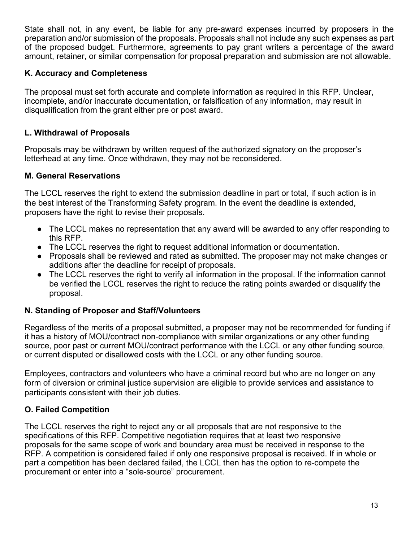State shall not, in any event, be liable for any pre-award expenses incurred by proposers in the preparation and/or submission of the proposals. Proposals shall not include any such expenses as part of the proposed budget. Furthermore, agreements to pay grant writers a percentage of the award amount, retainer, or similar compensation for proposal preparation and submission are not allowable.

#### **K. Accuracy and Completeness**

The proposal must set forth accurate and complete information as required in this RFP. Unclear, incomplete, and/or inaccurate documentation, or falsification of any information, may result in disqualification from the grant either pre or post award.

### **L. Withdrawal of Proposals**

Proposals may be withdrawn by written request of the authorized signatory on the proposer's letterhead at any time. Once withdrawn, they may not be reconsidered.

#### **M. General Reservations**

The LCCL reserves the right to extend the submission deadline in part or total, if such action is in the best interest of the Transforming Safety program. In the event the deadline is extended, proposers have the right to revise their proposals.

- The LCCL makes no representation that any award will be awarded to any offer responding to this RFP.
- The LCCL reserves the right to request additional information or documentation.
- Proposals shall be reviewed and rated as submitted. The proposer may not make changes or additions after the deadline for receipt of proposals.
- The LCCL reserves the right to verify all information in the proposal. If the information cannot be verified the LCCL reserves the right to reduce the rating points awarded or disqualify the proposal.

#### **N. Standing of Proposer and Staff/Volunteers**

Regardless of the merits of a proposal submitted, a proposer may not be recommended for funding if it has a history of MOU/contract non-compliance with similar organizations or any other funding source, poor past or current MOU/contract performance with the LCCL or any other funding source, or current disputed or disallowed costs with the LCCL or any other funding source.

Employees, contractors and volunteers who have a criminal record but who are no longer on any form of diversion or criminal justice supervision are eligible to provide services and assistance to participants consistent with their job duties.

#### **O. Failed Competition**

The LCCL reserves the right to reject any or all proposals that are not responsive to the specifications of this RFP. Competitive negotiation requires that at least two responsive proposals for the same scope of work and boundary area must be received in response to the RFP. A competition is considered failed if only one responsive proposal is received. If in whole or part a competition has been declared failed, the LCCL then has the option to re-compete the procurement or enter into a "sole-source" procurement.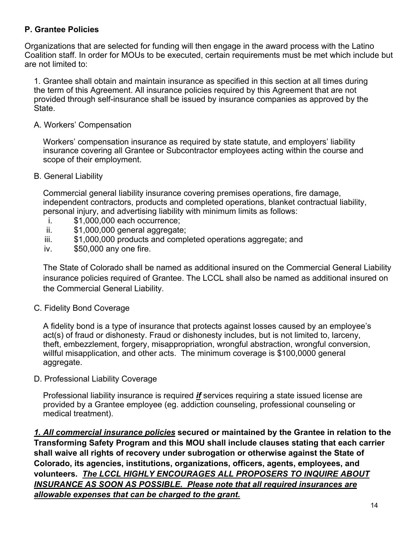### **P. Grantee Policies**

Organizations that are selected for funding will then engage in the award process with the Latino Coalition staff. In order for MOUs to be executed, certain requirements must be met which include but are not limited to:

1. Grantee shall obtain and maintain insurance as specified in this section at all times during the term of this Agreement. All insurance policies required by this Agreement that are not provided through self-insurance shall be issued by insurance companies as approved by the State.

#### A. Workers' Compensation

Workers' compensation insurance as required by state statute, and employers' liability insurance covering all Grantee or Subcontractor employees acting within the course and scope of their employment.

#### B. General Liability

Commercial general liability insurance covering premises operations, fire damage, independent contractors, products and completed operations, blanket contractual liability, personal injury, and advertising liability with minimum limits as follows:

- i. \$1,000,000 each occurrence;
- ii. \$1,000,000 general aggregate;
- iii. \$1,000,000 products and completed operations aggregate; and
- iv. \$50,000 any one fire.

The State of Colorado shall be named as additional insured on the Commercial General Liability insurance policies required of Grantee. The LCCL shall also be named as additional insured on the Commercial General Liability.

#### C. Fidelity Bond Coverage

A fidelity bond is a type of insurance that protects against losses caused by an employee's act(s) of fraud or dishonesty. Fraud or dishonesty includes, but is not limited to, larceny, theft, embezzlement, forgery, misappropriation, wrongful abstraction, wrongful conversion, willful misapplication, and other acts. The minimum coverage is \$100,0000 general aggregate.

D. Professional Liability Coverage

Professional liability insurance is required *if* services requiring a state issued license are provided by a Grantee employee (eg. addiction counseling, professional counseling or medical treatment).

*1. All commercial insurance policies* **secured or maintained by the Grantee in relation to the Transforming Safety Program and this MOU shall include clauses stating that each carrier shall waive all rights of recovery under subrogation or otherwise against the State of Colorado, its agencies, institutions, organizations, officers, agents, employees, and volunteers.** *The LCCL HIGHLY ENCOURAGES ALL PROPOSERS TO INQUIRE ABOUT INSURANCE AS SOON AS POSSIBLE. Please note that all required insurances are allowable expenses that can be charged to the grant.*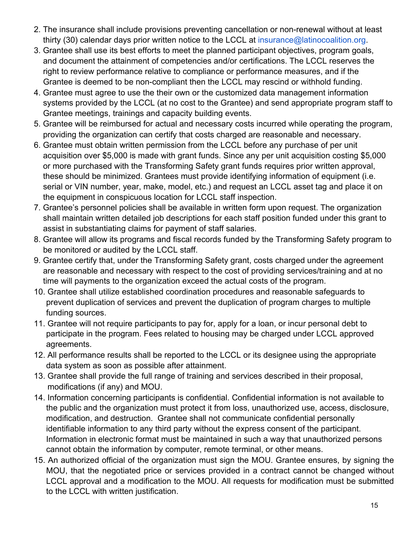- 2. The insurance shall include provisions preventing cancellation or non-renewal without at least thirty (30) calendar days prior written notice to the LCCL at insurance@latinocoalition.org.
- 3. Grantee shall use its best efforts to meet the planned participant objectives, program goals, and document the attainment of competencies and/or certifications. The LCCL reserves the right to review performance relative to compliance or performance measures, and if the Grantee is deemed to be non-compliant then the LCCL may rescind or withhold funding.
- 4. Grantee must agree to use the their own or the customized data management information systems provided by the LCCL (at no cost to the Grantee) and send appropriate program staff to Grantee meetings, trainings and capacity building events.
- 5. Grantee will be reimbursed for actual and necessary costs incurred while operating the program, providing the organization can certify that costs charged are reasonable and necessary.
- 6. Grantee must obtain written permission from the LCCL before any purchase of per unit acquisition over \$5,000 is made with grant funds. Since any per unit acquisition costing \$5,000 or more purchased with the Transforming Safety grant funds requires prior written approval, these should be minimized. Grantees must provide identifying information of equipment (i.e. serial or VIN number, year, make, model, etc.) and request an LCCL asset tag and place it on the equipment in conspicuous location for LCCL staff inspection.
- 7. Grantee's personnel policies shall be available in written form upon request. The organization shall maintain written detailed job descriptions for each staff position funded under this grant to assist in substantiating claims for payment of staff salaries.
- 8. Grantee will allow its programs and fiscal records funded by the Transforming Safety program to be monitored or audited by the LCCL staff.
- 9. Grantee certify that, under the Transforming Safety grant, costs charged under the agreement are reasonable and necessary with respect to the cost of providing services/training and at no time will payments to the organization exceed the actual costs of the program.
- 10. Grantee shall utilize established coordination procedures and reasonable safeguards to prevent duplication of services and prevent the duplication of program charges to multiple funding sources.
- 11. Grantee will not require participants to pay for, apply for a loan, or incur personal debt to participate in the program. Fees related to housing may be charged under LCCL approved agreements.
- 12. All performance results shall be reported to the LCCL or its designee using the appropriate data system as soon as possible after attainment.
- 13. Grantee shall provide the full range of training and services described in their proposal, modifications (if any) and MOU.
- 14. Information concerning participants is confidential. Confidential information is not available to the public and the organization must protect it from loss, unauthorized use, access, disclosure, modification, and destruction. Grantee shall not communicate confidential personally identifiable information to any third party without the express consent of the participant. Information in electronic format must be maintained in such a way that unauthorized persons cannot obtain the information by computer, remote terminal, or other means.
- 15. An authorized official of the organization must sign the MOU. Grantee ensures, by signing the MOU, that the negotiated price or services provided in a contract cannot be changed without LCCL approval and a modification to the MOU. All requests for modification must be submitted to the LCCL with written justification.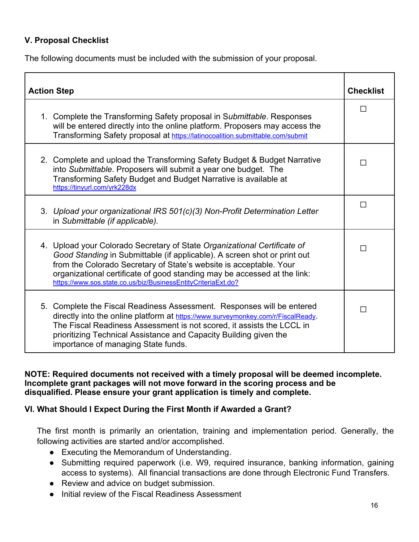#### **V. Proposal Checklist**

The following documents must be included with the submission of your proposal.

| <b>Action Step</b>                                                                                                                                                                                                                                                                                                                                                      | <b>Checklist</b> |
|-------------------------------------------------------------------------------------------------------------------------------------------------------------------------------------------------------------------------------------------------------------------------------------------------------------------------------------------------------------------------|------------------|
| 1. Complete the Transforming Safety proposal in Submittable. Responses<br>will be entered directly into the online platform. Proposers may access the<br>Transforming Safety proposal at https://latinocoalition.submittable.com/submit                                                                                                                                 | П                |
| 2. Complete and upload the Transforming Safety Budget & Budget Narrative<br>into Submittable. Proposers will submit a year one budget. The<br>Transforming Safety Budget and Budget Narrative is available at<br>https://tinyurl.com/yrk228dx                                                                                                                           | П                |
| 3. Upload your organizational IRS 501(c)(3) Non-Profit Determination Letter<br>in Submittable (if applicable).                                                                                                                                                                                                                                                          | П                |
| 4. Upload your Colorado Secretary of State Organizational Certificate of<br>Good Standing in Submittable (if applicable). A screen shot or print out<br>from the Colorado Secretary of State's website is acceptable. Your<br>organizational certificate of good standing may be accessed at the link:<br>https://www.sos.state.co.us/biz/BusinessEntityCriteriaExt.do? | П                |
| 5. Complete the Fiscal Readiness Assessment. Responses will be entered<br>directly into the online platform at https://www.surveymonkey.com/r/FiscalReady.<br>The Fiscal Readiness Assessment is not scored, it assists the LCCL in<br>prioritizing Technical Assistance and Capacity Building given the<br>importance of managing State funds.                         | П                |

**NOTE: Required documents not received with a timely proposal will be deemed incomplete. Incomplete grant packages will not move forward in the scoring process and be disqualified. Please ensure your grant application is timely and complete.** 

#### **VI. What Should I Expect During the First Month if Awarded a Grant?**

The first month is primarily an orientation, training and implementation period. Generally, the following activities are started and/or accomplished.

- Executing the Memorandum of Understanding.
- Submitting required paperwork (i.e. W9, required insurance, banking information, gaining access to systems). All financial transactions are done through Electronic Fund Transfers.
- Review and advice on budget submission.
- Initial review of the Fiscal Readiness Assessment